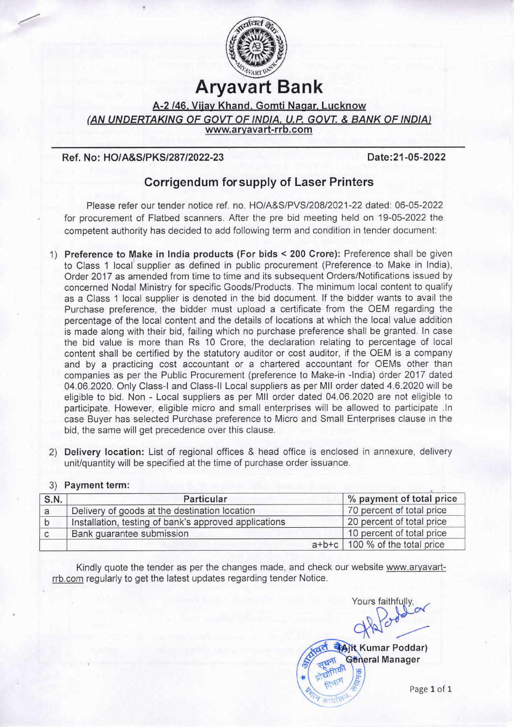

## Aryavart Bank

A-2 /46. Vijay Khand, Gomti Nagar, Lucknow (AN UNDERTAKING OF GOVT OF INDIA, U.P. GOVT. & BANK OF INDIA)<br>www.aryavart-rrb.com

## Ref. No: HO/A&S/PKS/287/2022-23 Date:21-05-2022

-

## Corrigendum forsupply of Laser Printers

Please refer our tender notice ref. no. HO/A&S/PVS/208/2021-22 dated: 06-05-2022 for procurement of Flatbed scanners. After the pre bid meeting held on 19-05-2022 the competent authority has decided to add following term and condition in tender document:

- 1) Preference to Make in India products (For bids < 200 Crore): Preference shall be given to Class 1 local supplier as defined in public procurement (Preference to Make in India), Order 2017 as amended from time to time and its subsequent Orders/Notifications issued by concerned Nodal Ministry for specific Goods/Products. The minimum local content to qualify as a Class 1 local supplier is denoted in the bid document. If the bidder wants to avail the Purchase preference, the bidder must upload a certificate from the OEM regarding the percentage of the local content and the details of locations at which the local value addition is made along with their bid, failing which no purchase preference shall be granted. In case the bid value is more than Rs 10 Crore, the declaration relating to percentage of local content shall be certified by the statutory auditor or cost auditor, if the OEM is a company and by a practicing cost accountant or a chartered accountant for OEMs other than companies as per the Public Procurement (preference to Make-in -India) order 2017 dated 04.06.2020. Only class-I and Class-lI Local suppliers as per Mll order dated 4.6.2020 will be eligible to bid. Non -Local suppliers as per Mll order dated 04.06.2020 are not eligible to participate. However, eligible micro and small enterprises will be allowed to participate ln case Buyer has selected Purchase preference to Micro and Small Enterprises clause in the bid, the same will get precedence over this clause.
- 2) Delivery location: List of regional offices & head office is enclosed in annexure, delivery unit/quantity will be specified at the time of purchase order issuance.

## 3) Payment term:

| S.N. | Particular                                            | % payment of total price         |
|------|-------------------------------------------------------|----------------------------------|
| a    | Delivery of goods at the destination location         | 70 percent of total price        |
| b    | Installation, testing of bank's approved applications | 20 percent of total price        |
| C    | Bank guarantee submission                             | 10 percent of total price        |
|      |                                                       | $a+b+c$ 100 % of the total price |

Kindly quote the tender as per the changes made, and check our website www.arvavartrrb.com regularly to get the latest updates regarding tender Notice.

Yours faithfully.  $\alpha$ **Ait Kumar Poddar)** 

**Géneral Manager**